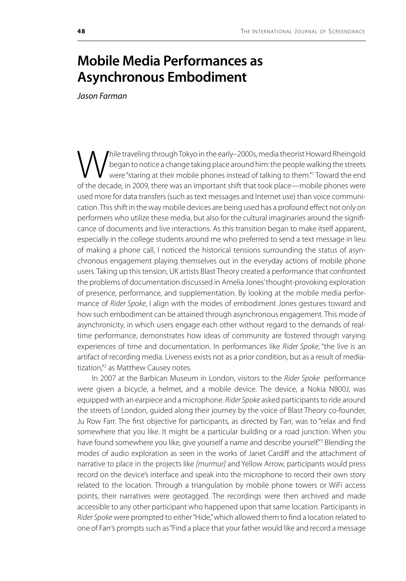## **Mobile Media Performances as Asynchronous Embodiment**

*Jason Farman*

While traveling through Tokyo in the early–2000s, media theorist Howard Rheingold<br>Vegan to notice a change taking place around him: the people walking the streets<br>of the decade in 2008, there was an important shift that to began to notice a change taking place around him: the people walking the streets were "staring at their mobile phones instead of talking to them."<sup>1</sup> Toward the end of the decade, in 2009, there was an important shift that took place—mobile phones were used more for data transfers (such as text messages and Internet use) than voice communication. This shift in the way mobile devices are being used has a profound effect not only on performers who utilize these media, but also for the cultural imaginaries around the significance of documents and live interactions. As this transition began to make itself apparent, especially in the college students around me who preferred to send a text message in lieu of making a phone call, I noticed the historical tensions surrounding the status of asynchronous engagement playing themselves out in the everyday actions of mobile phone users. Taking up this tension, UK artists Blast Theory created a performance that confronted the problems of documentation discussed in Amelia Jones' thought-provoking exploration of presence, performance, and supplementation. By looking at the mobile media performance of *Rider Spoke*, I align with the modes of embodiment Jones gestures toward and how such embodiment can be attained through asynchronous engagement. This mode of asynchronicity, in which users engage each other without regard to the demands of realtime performance, demonstrates how ideas of community are fostered through varying experiences of time and documentation. In performances like *Rider Spoke*, "the live is an artifact of recording media. Liveness exists not as a prior condition, but as a result of mediatization,"2 as Matthew Causey notes.

In 2007 at the Barbican Museum in London, visitors to the *Rider Spoke* performance were given a bicycle, a helmet, and a mobile device. The device, a Nokia N800J, was equipped with an earpiece and a microphone. *Rider Spoke* asked participants to ride around the streets of London, guided along their journey by the voice of Blast Theory co-founder, Ju Row Farr. The first objective for participants, as directed by Farr, was to "relax and find somewhere that you like. It might be a particular building or a road junction. When you have found somewhere you like, give yourself a name and describe yourself."<sup>3</sup> Blending the modes of audio exploration as seen in the works of Janet Cardiff and the attachment of narrative to place in the projects like *[murmur]* and Yellow Arrow, participants would press record on the device's interface and speak into the microphone to record their own story related to the location. Through a triangulation by mobile phone towers or WiFi access points, their narratives were geotagged. The recordings were then archived and made accessible to any other participant who happened upon that same location. Participants in *Rider Spoke* were prompted to either "Hide," which allowed them to find a location related to one of Farr's prompts such as "Find a place that your father would like and record a message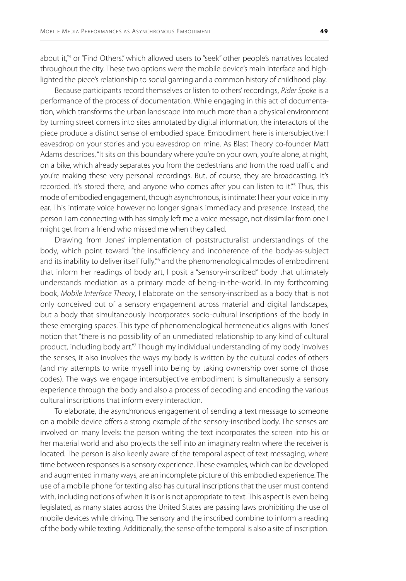about it,"4 or "Find Others," which allowed users to "seek" other people's narratives located throughout the city. These two options were the mobile device's main interface and highlighted the piece's relationship to social gaming and a common history of childhood play.

Because participants record themselves or listen to others' recordings, *Rider Spoke* is a performance of the process of documentation. While engaging in this act of documentation, which transforms the urban landscape into much more than a physical environment by turning street corners into sites annotated by digital information, the interactors of the piece produce a distinct sense of embodied space. Embodiment here is intersubjective: I eavesdrop on your stories and you eavesdrop on mine. As Blast Theory co-founder Matt Adams describes, "It sits on this boundary where you're on your own, you're alone, at night, on a bike, which already separates you from the pedestrians and from the road traffic and you're making these very personal recordings. But, of course, they are broadcasting. It's recorded. It's stored there, and anyone who comes after you can listen to it."<sup>5</sup> Thus, this mode of embodied engagement, though asynchronous, is intimate: I hear your voice in my ear. This intimate voice however no longer signals immediacy and presence. Instead, the person I am connecting with has simply left me a voice message, not dissimilar from one I might get from a friend who missed me when they called.

Drawing from Jones' implementation of poststructuralist understandings of the body, which point toward "the insufficiency and incoherence of the body-as-subject and its inability to deliver itself fully,"<sup>6</sup> and the phenomenological modes of embodiment that inform her readings of body art, I posit a "sensory-inscribed" body that ultimately understands mediation as a primary mode of being-in-the-world. In my forthcoming book, *Mobile Interface Theory*, I elaborate on the sensory-inscribed as a body that is not only conceived out of a sensory engagement across material and digital landscapes, but a body that simultaneously incorporates socio-cultural inscriptions of the body in these emerging spaces. This type of phenomenological hermeneutics aligns with Jones' notion that "there is no possibility of an unmediated relationship to any kind of cultural product, including body art."7 Though my individual understanding of my body involves the senses, it also involves the ways my body is written by the cultural codes of others (and my attempts to write myself into being by taking ownership over some of those codes). The ways we engage intersubjective embodiment is simultaneously a sensory experience through the body and also a process of decoding and encoding the various cultural inscriptions that inform every interaction.

To elaborate, the asynchronous engagement of sending a text message to someone on a mobile device offers a strong example of the sensory-inscribed body. The senses are involved on many levels: the person writing the text incorporates the screen into his or her material world and also projects the self into an imaginary realm where the receiver is located. The person is also keenly aware of the temporal aspect of text messaging, where time between responses is a sensory experience. These examples, which can be developed and augmented in many ways, are an incomplete picture of this embodied experience. The use of a mobile phone for texting also has cultural inscriptions that the user must contend with, including notions of when it is or is not appropriate to text. This aspect is even being legislated, as many states across the United States are passing laws prohibiting the use of mobile devices while driving. The sensory and the inscribed combine to inform a reading of the body while texting. Additionally, the sense of the temporal is also a site of inscription.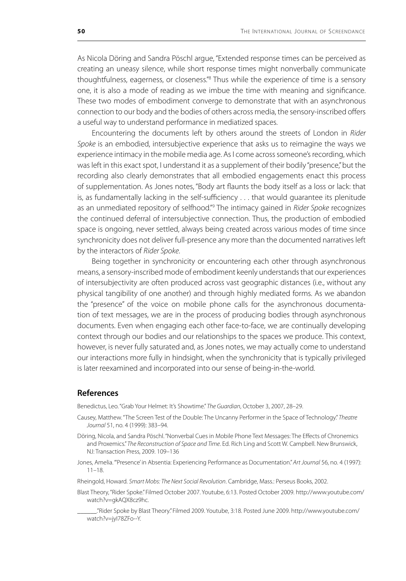As Nicola Döring and Sandra Pöschl argue, "Extended response times can be perceived as creating an uneasy silence, while short response times might nonverbally communicate thoughtfulness, eagerness, or closeness."<sup>8</sup> Thus while the experience of time is a sensory one, it is also a mode of reading as we imbue the time with meaning and significance. These two modes of embodiment converge to demonstrate that with an asynchronous connection to our body and the bodies of others across media, the sensory-inscribed offers a useful way to understand performance in mediatized spaces.

Encountering the documents left by others around the streets of London in *Rider Spoke* is an embodied, intersubjective experience that asks us to reimagine the ways we experience intimacy in the mobile media age. As I come across someone's recording, which was left in this exact spot, I understand it as a supplement of their bodily "presence," but the recording also clearly demonstrates that all embodied engagements enact this process of supplementation. As Jones notes, "Body art flaunts the body itself as a loss or lack: that is, as fundamentally lacking in the self-sufficiency . . . that would guarantee its plenitude as an unmediated repository of selfhood."<sup>9</sup> The intimacy gained in *Rider Spoke* recognizes the continued deferral of intersubjective connection. Thus, the production of embodied space is ongoing, never settled, always being created across various modes of time since synchronicity does not deliver full-presence any more than the documented narratives left by the interactors of *Rider Spoke*.

Being together in synchronicity or encountering each other through asynchronous means, a sensory-inscribed mode of embodiment keenly understands that our experiences of intersubjectivity are often produced across vast geographic distances (i.e., without any physical tangibility of one another) and through highly mediated forms. As we abandon the "presence" of the voice on mobile phone calls for the asynchronous documentation of text messages, we are in the process of producing bodies through asynchronous documents. Even when engaging each other face-to-face, we are continually developing context through our bodies and our relationships to the spaces we produce. This context, however, is never fully saturated and, as Jones notes, we may actually come to understand our interactions more fully in hindsight, when the synchronicity that is typically privileged is later reexamined and incorporated into our sense of being-in-the-world.

## **References**

Benedictus, Leo. "Grab Your Helmet: It's Showtime." *The Guardian*, October 3, 2007, 28–29.

- Causey, Matthew. "The Screen Test of the Double: The Uncanny Performer in the Space of Technology." *Theatre Journal* 51, no. 4 (1999): 383–94.
- Döring, Nicola, and Sandra Pöschl. "Nonverbal Cues in Mobile Phone Text Messages: The Effects of Chronemics and Proxemics." *The Reconstruction of Space and Time*. Ed. Rich Ling and Scott W. Campbell. New Brunswick, NJ: Transaction Press, 2009. 109–136
- Jones, Amelia. "'Presence' in Absentia: Experiencing Performance as Documentation." *Art Journal* 56, no. 4 (1997): 11–18.
- Rheingold, Howard. *Smart Mobs: The Next Social Revolution*. Cambridge, Mass.: Perseus Books, 2002.
- Blast Theory, "Rider Spoke." Filmed October 2007. Youtube, 6:13. Posted October 2009. http://www.youtube.com/ watch?v=gkAQX8cz9hc.
	- \_\_\_\_\_\_."Rider Spoke by Blast Theory." Filmed 2009. Youtube, 3:18. Posted June 2009. http://www.youtube.com/ watch?v=jyI78ZFo--Y.